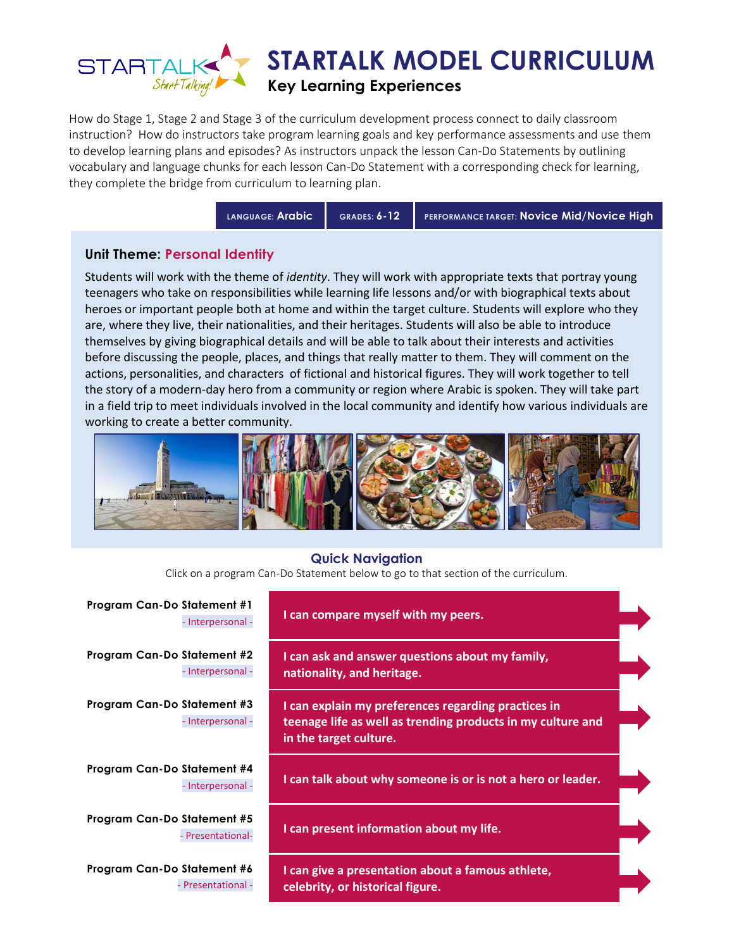

How do Stage 1, Stage 2 and Stage 3 of the curriculum development process connect to daily classroom instruction? How do instructors take program learning goals and key performance assessments and use them to develop learning plans and episodes? As instructors unpack the lesson Can-Do Statements by outlining vocabulary and language chunks for each lesson Can-Do Statement with a corresponding check for learning, they complete the bridge from curriculum to learning plan.

**LANGUAGE: Arabic GRADES: 6-12 PERFORMANCE TARGET: Novice Mid/Novice High**

### **Unit Theme: Personal Identity**

Students will work with the theme of *identity*. They will work with appropriate texts that portray young teenagers who take on responsibilities while learning life lessons and/or with biographical texts about heroes or important people both at home and within the target culture. Students will explore who they are, where they live, their nationalities, and their heritages. Students will also be able to introduce themselves by giving biographical details and will be able to talk about their interests and activities before discussing the people, places, and things that really matter to them. They will comment on the actions, personalities, and characters of fictional and historical figures. They will work together to tell the story of a modern-day hero from a community or region where Arabic is spoken. They will take part in a field trip to meet individuals involved in the local community and identify how various individuals are working to create a better community.



#### **Quick Navigation**

Click on a program Can-Do Statement below to go to that section of the curriculum.

| <b>Program Can-Do Statement #1</b><br>- Interpersonal - | I can compare myself with my peers.                                                                                                          |  |
|---------------------------------------------------------|----------------------------------------------------------------------------------------------------------------------------------------------|--|
| <b>Program Can-Do Statement #2</b><br>- Interpersonal - | I can ask and answer questions about my family,<br>nationality, and heritage.                                                                |  |
| Program Can-Do Statement #3<br>- Interpersonal -        | I can explain my preferences regarding practices in<br>teenage life as well as trending products in my culture and<br>in the target culture. |  |
| Program Can-Do Statement #4<br>- Interpersonal -        | I can talk about why someone is or is not a hero or leader.                                                                                  |  |
| Program Can-Do Statement #5<br>Presentational-          | I can present information about my life.                                                                                                     |  |
| Program Can-Do Statement #6<br>- Presentational -       | I can give a presentation about a famous athlete,<br>celebrity, or historical figure.                                                        |  |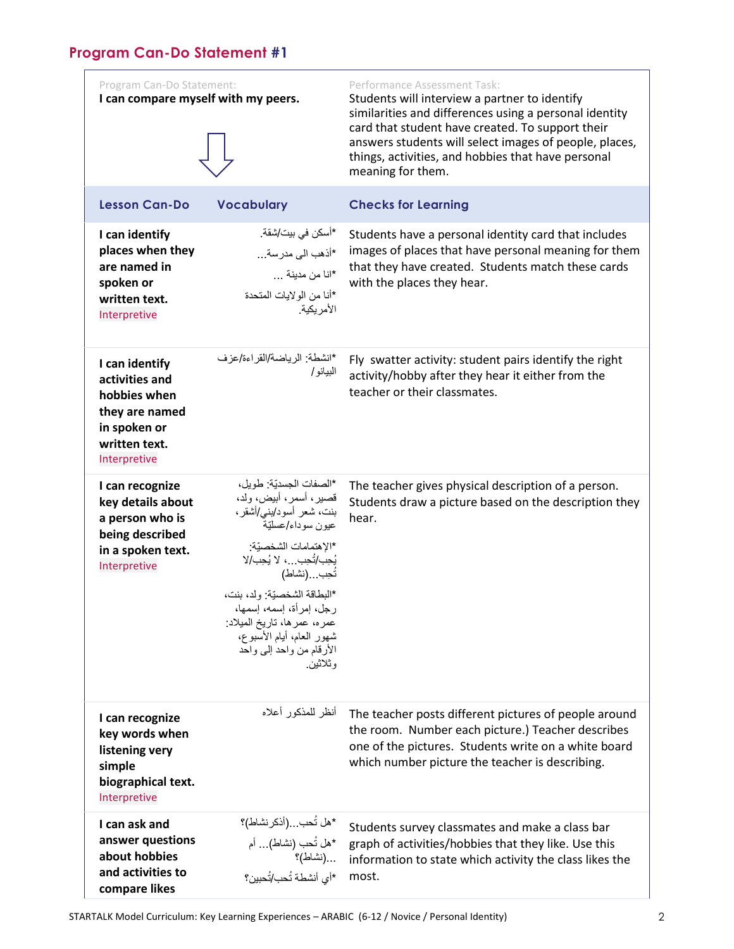# <span id="page-1-0"></span>**Program Can-Do Statement #1**

| Program Can-Do Statement:<br>I can compare myself with my peers.                                                    |                                                                                                                                                                                                                                                                                                                                              | Performance Assessment Task:<br>Students will interview a partner to identify<br>similarities and differences using a personal identity<br>card that student have created. To support their<br>answers students will select images of people, places,<br>things, activities, and hobbies that have personal<br>meaning for them. |
|---------------------------------------------------------------------------------------------------------------------|----------------------------------------------------------------------------------------------------------------------------------------------------------------------------------------------------------------------------------------------------------------------------------------------------------------------------------------------|----------------------------------------------------------------------------------------------------------------------------------------------------------------------------------------------------------------------------------------------------------------------------------------------------------------------------------|
| <b>Lesson Can-Do</b>                                                                                                | <b>Vocabulary</b>                                                                                                                                                                                                                                                                                                                            | <b>Checks for Learning</b>                                                                                                                                                                                                                                                                                                       |
| I can identify<br>places when they<br>are named in<br>spoken or<br>written text.<br>Interpretive                    | *أسكن في بيت/شقة.<br>*أذهب الى مدرسة<br>*انا من مدينة<br>*أنا من الولايات المتحدة<br>الأمر يكية                                                                                                                                                                                                                                              | Students have a personal identity card that includes<br>images of places that have personal meaning for them<br>that they have created. Students match these cards<br>with the places they hear.                                                                                                                                 |
| I can identify<br>activities and<br>hobbies when<br>they are named<br>in spoken or<br>written text.<br>Interpretive | *انشطة: الرياضة/القراءة/عزف<br>البيانو /                                                                                                                                                                                                                                                                                                     | Fly swatter activity: student pairs identify the right<br>activity/hobby after they hear it either from the<br>teacher or their classmates.                                                                                                                                                                                      |
| I can recognize<br>key details about<br>a person who is<br>being described<br>in a spoken text.<br>Interpretive     | *الصفات الجسديّة: طويل،<br>قصير، أسمر، أبيض، ولد،<br>بنت، شعر أسود/بنـي/أشقر،<br>عيون سوداء/عسليّة<br>*الإهتمامات الشخصيّة:<br>يُحِبِ/تُحِبِ ، لا يُحِبِ/لا<br>تُحِب(نشاط)<br>*البطاقة الشخصيّة: ولد، بنت،<br>رجل، إمرأة، إسمه، إسمها،<br>عمره، عمرها، تاريخ الميلاد:<br>شهور العام، أيام الأسبوع،<br>الأرقام من واحد إلىي واحد<br>و ئلائين. | The teacher gives physical description of a person.<br>Students draw a picture based on the description they<br>hear.                                                                                                                                                                                                            |
| I can recognize<br>key words when<br>listening very<br>simple<br>biographical text.<br>Interpretive                 | أنظر للمذكور أعلاه                                                                                                                                                                                                                                                                                                                           | The teacher posts different pictures of people around<br>the room. Number each picture.) Teacher describes<br>one of the pictures. Students write on a white board<br>which number picture the teacher is describing.                                                                                                            |
| I can ask and<br>answer questions<br>about hobbies<br>and activities to<br>compare likes                            | *هل تُحب(أذكر نشاط)؟<br>*هل تُحب (نشاط) أم<br>(نشاط)؟<br>*أي أنشطة تُحب/تُحبين؟                                                                                                                                                                                                                                                              | Students survey classmates and make a class bar<br>graph of activities/hobbies that they like. Use this<br>information to state which activity the class likes the<br>most.                                                                                                                                                      |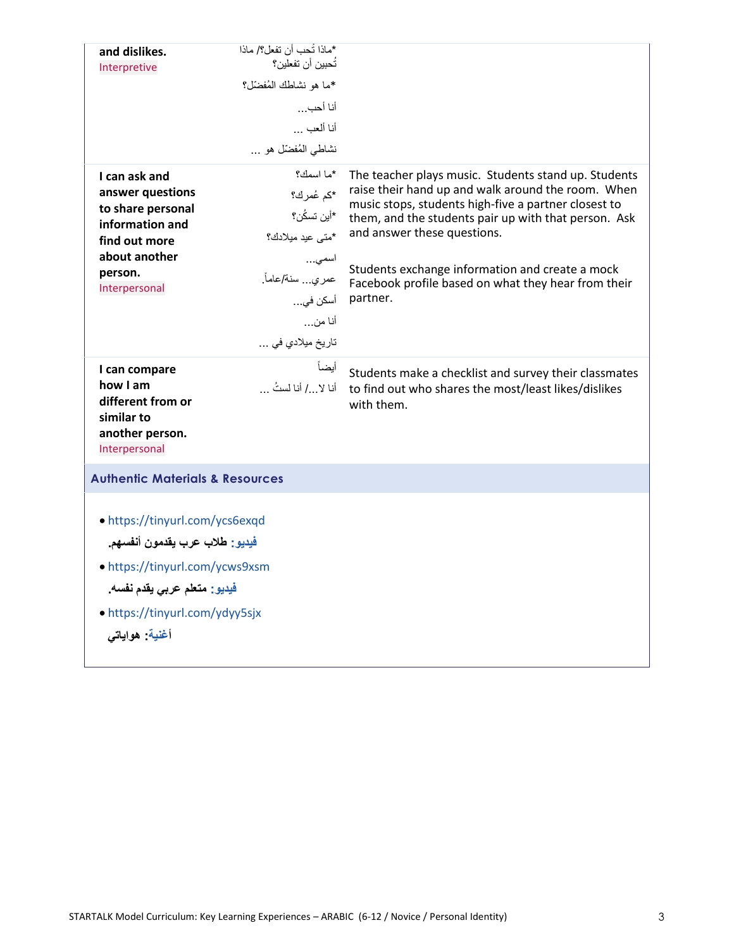| and dislikes.                              | *ماذا تُحب أن تفعل؟/ ماذا<br>تُحببن أن تفعلبن؟ |                                                                                                            |  |
|--------------------------------------------|------------------------------------------------|------------------------------------------------------------------------------------------------------------|--|
| Interpretive                               | *ما هو نشاطك المُفضّل؟                         |                                                                                                            |  |
|                                            | أنا أحب…                                       |                                                                                                            |  |
|                                            | أنا ألعب                                       |                                                                                                            |  |
|                                            | نشاطي المُفضّل هو                              |                                                                                                            |  |
|                                            | *ما اسمك؟                                      |                                                                                                            |  |
| I can ask and<br>answer questions          | *كم عُمرك؟                                     | The teacher plays music. Students stand up. Students<br>raise their hand up and walk around the room. When |  |
| to share personal                          | *أين تسكُن؟                                    | music stops, students high-five a partner closest to                                                       |  |
| information and                            | *متى عيد ميلادك؟                               | them, and the students pair up with that person. Ask<br>and answer these questions.                        |  |
| find out more<br>about another             |                                                |                                                                                                            |  |
| person.                                    | اسمى<br>عمر ي سنة/عاماً.                       | Students exchange information and create a mock                                                            |  |
| Interpersonal                              | أسكن في…                                       | Facebook profile based on what they hear from their<br>partner.                                            |  |
|                                            | أنا من…                                        |                                                                                                            |  |
|                                            | تاريخ ميلادي في                                |                                                                                                            |  |
|                                            |                                                |                                                                                                            |  |
| I can compare<br>how I am                  | أيضأ<br>أنا لا/ أنا لستُ                       | Students make a checklist and survey their classmates                                                      |  |
| different from or                          |                                                | to find out who shares the most/least likes/dislikes<br>with them.                                         |  |
| similar to                                 |                                                |                                                                                                            |  |
| another person.<br>Interpersonal           |                                                |                                                                                                            |  |
|                                            |                                                |                                                                                                            |  |
| <b>Authentic Materials &amp; Resources</b> |                                                |                                                                                                            |  |
|                                            |                                                |                                                                                                            |  |
| • https://tinyurl.com/ycs6exqd             |                                                |                                                                                                            |  |
| فيديو: طلاب عرب يقدمون أنفسهم.             |                                                |                                                                                                            |  |
| • https://tinyurl.com/ycws9xsm             |                                                |                                                                                                            |  |
|                                            | فَيديو : متعلم عربي يقدم نفسه.                 |                                                                                                            |  |
|                                            | • https://tinyurl.com/ydyy5sjx                 |                                                                                                            |  |
| أغنية هواياتى                              |                                                |                                                                                                            |  |
|                                            |                                                |                                                                                                            |  |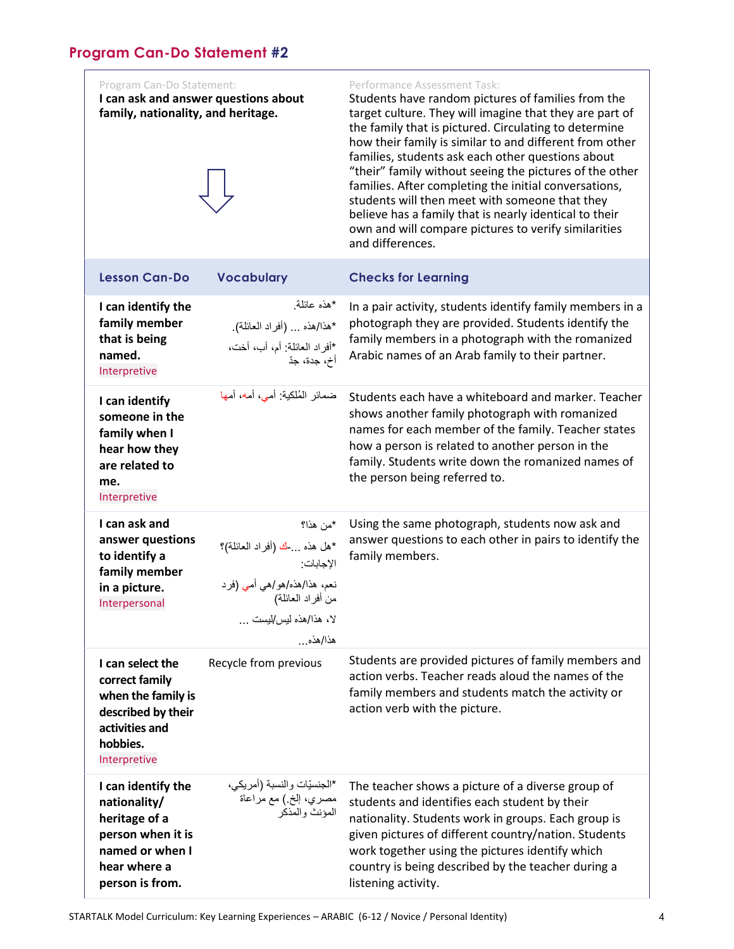<span id="page-3-0"></span>Program Can-Do Statement: **I can ask and answer questions about family, nationality, and heritage.**



#### Performance Assessment Task:

Students have random pictures of families from the target culture. They will imagine that they are part of the family that is pictured. Circulating to determine how their family is similar to and different from other families, students ask each other questions about "their" family without seeing the pictures of the other families. After completing the initial conversations, students will then meet with someone that they believe has a family that is nearly identical to their own and will compare pictures to verify similarities and differences.

| <b>Lesson Can-Do</b>                                                                                                           | <b>Vocabulary</b>                                                                                                                          | <b>Checks for Learning</b>                                                                                                                                                                                                                                                                                                                        |
|--------------------------------------------------------------------------------------------------------------------------------|--------------------------------------------------------------------------------------------------------------------------------------------|---------------------------------------------------------------------------------------------------------------------------------------------------------------------------------------------------------------------------------------------------------------------------------------------------------------------------------------------------|
| I can identify the<br>family member<br>that is being<br>named.<br>Interpretive                                                 | *هذه عائلة<br>*هذا/هذه  (أفراد العائلة).<br>*أفراد العائلة: أم، أب، أخت،<br>أخ، جدة، جدّ                                                   | In a pair activity, students identify family members in a<br>photograph they are provided. Students identify the<br>family members in a photograph with the romanized<br>Arabic names of an Arab family to their partner.                                                                                                                         |
| I can identify<br>someone in the<br>family when I<br>hear how they<br>are related to<br>me.<br>Interpretive                    | ضمائر المُلكية: أمي، أمه، أمها                                                                                                             | Students each have a whiteboard and marker. Teacher<br>shows another family photograph with romanized<br>names for each member of the family. Teacher states<br>how a person is related to another person in the<br>family. Students write down the romanized names of<br>the person being referred to.                                           |
| I can ask and<br>answer questions<br>to identify a<br>family member<br>in a picture.<br>Interpersonal                          | *من هذا؟<br>*هل هذه  ك (أفراد العائلة)؟<br>الإجابات<br>نعم، هذا/هذه/هو/هي أمي (فرد<br>من أفراد العائلة)<br>لا، هذا/هذه ليس/ليست<br>هذا/هذه | Using the same photograph, students now ask and<br>answer questions to each other in pairs to identify the<br>family members.                                                                                                                                                                                                                     |
| I can select the<br>correct family<br>when the family is<br>described by their<br>activities and<br>hobbies.<br>Interpretive   | Recycle from previous                                                                                                                      | Students are provided pictures of family members and<br>action verbs. Teacher reads aloud the names of the<br>family members and students match the activity or<br>action verb with the picture.                                                                                                                                                  |
| I can identify the<br>nationality/<br>heritage of a<br>person when it is<br>named or when I<br>hear where a<br>person is from. | *الجنسيّات والنسبة (أمريكي،<br>مصري، إلخ ) مع مراعاة<br>المؤنث والمذكر                                                                     | The teacher shows a picture of a diverse group of<br>students and identifies each student by their<br>nationality. Students work in groups. Each group is<br>given pictures of different country/nation. Students<br>work together using the pictures identify which<br>country is being described by the teacher during a<br>listening activity. |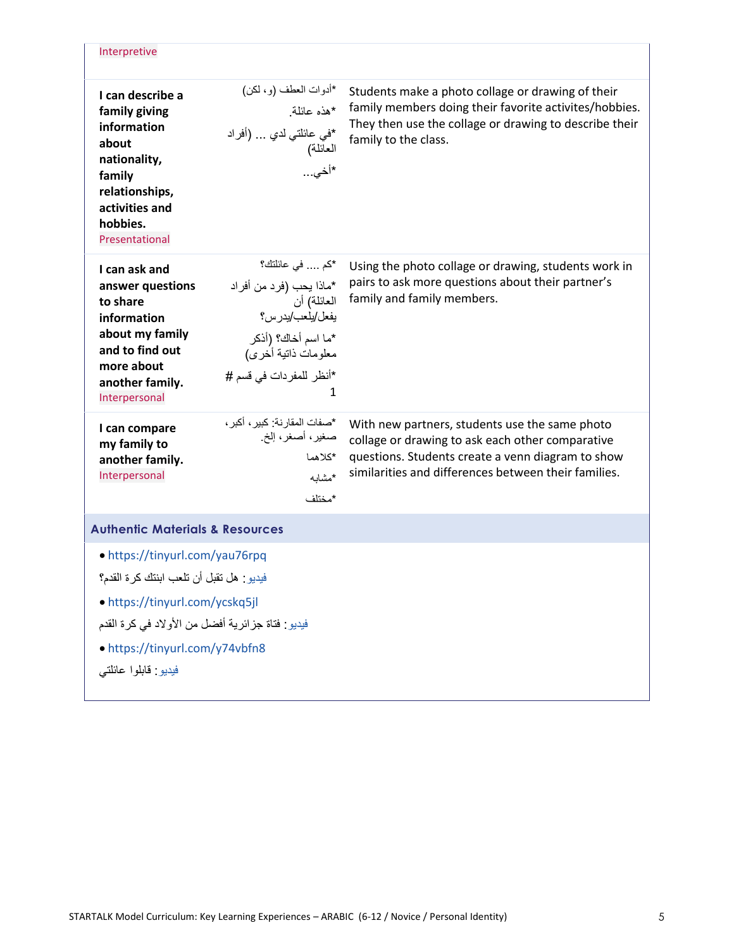| Interpretive                                                                                                                                                                                                                 |                                                                                                                                                            |                                                                                                                                                                                                                 |
|------------------------------------------------------------------------------------------------------------------------------------------------------------------------------------------------------------------------------|------------------------------------------------------------------------------------------------------------------------------------------------------------|-----------------------------------------------------------------------------------------------------------------------------------------------------------------------------------------------------------------|
| I can describe a<br>family giving<br>information<br>about<br>nationality,<br>family<br>relationships,<br>activities and<br>hobbies.<br>Presentational                                                                        | *أدوات العطف (و، لكن)<br>*هذه عائلة.<br>*في عائلتي لدي  (أفراد<br>العائلة)<br>*أخى                                                                         | Students make a photo collage or drawing of their<br>family members doing their favorite activites/hobbies.<br>They then use the collage or drawing to describe their<br>family to the class.                   |
| I can ask and<br>answer questions<br>to share<br>information<br>about my family<br>and to find out<br>more about<br>another family.<br>Interpersonal                                                                         | *كم  في عائلتك؟<br>*ماذا يحب (فرد من أفراد<br>العائلة) أن<br>يفعل/يلعب/يدرس؟<br>*ما اسم أخاك؟ (أذكر<br>معلومات ذاتية أخرى)<br>*أنظر للمفردات في قسم #<br>1 | Using the photo collage or drawing, students work in<br>pairs to ask more questions about their partner's<br>family and family members.                                                                         |
| I can compare<br>my family to<br>another family.<br>Interpersonal                                                                                                                                                            | *صفات المقارنة: كبير ، أكبر ،<br>صغير، أصغر، إلخ.<br>*كلاهما<br>*مشابه<br>*مختلف                                                                           | With new partners, students use the same photo<br>collage or drawing to ask each other comparative<br>questions. Students create a venn diagram to show<br>similarities and differences between their families. |
| <b>Authentic Materials &amp; Resources</b>                                                                                                                                                                                   |                                                                                                                                                            |                                                                                                                                                                                                                 |
| • https://tinyurl.com/yau76rpq<br>فيديو : هل تقبل أن تلعب ابنتك كر ة القدم؟<br>• https://tinyurl.com/ycskq5jl<br>فيديو : فناة جزائرية أفضل من الأولاد في كرة القدم<br>• https://tinyurl.com/y74vbfn8<br>فيديو: قابلوا عائلتي |                                                                                                                                                            |                                                                                                                                                                                                                 |

Ĩ.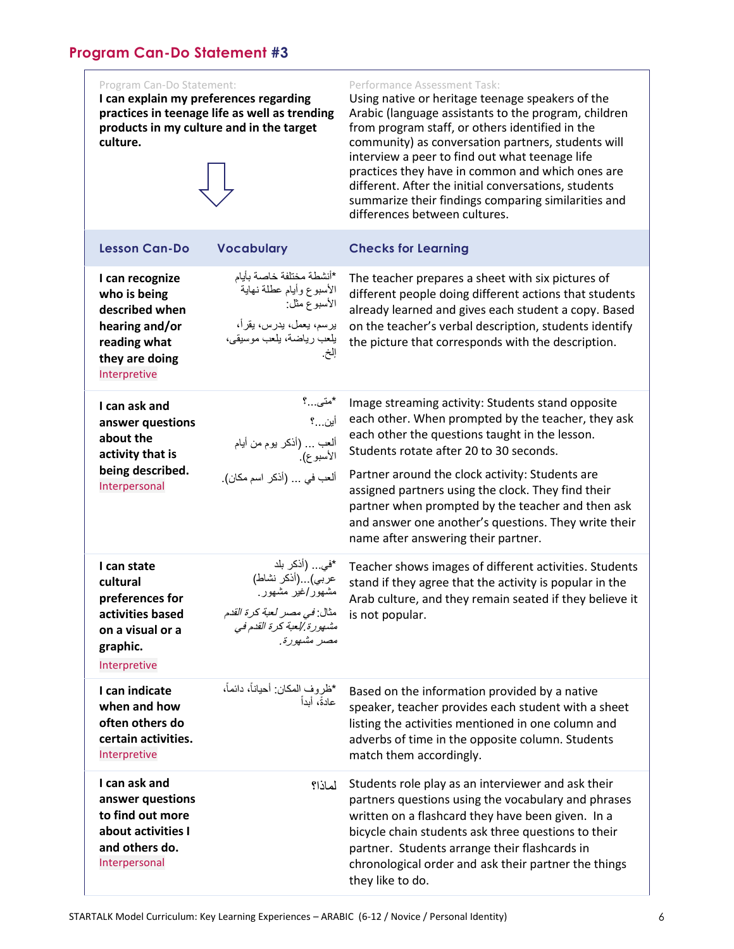#### <span id="page-5-0"></span>Program Can-Do Statement:

**I can explain my preferences regarding practices in teenage life as well as trending products in my culture and in the target culture.** 



#### Performance Assessment Task:

Using native or heritage teenage speakers of the Arabic (language assistants to the program, children from program staff, or others identified in the community) as conversation partners, students will interview a peer to find out what teenage life practices they have in common and which ones are different. After the initial conversations, students summarize their findings comparing similarities and differences between cultures.

| <b>Lesson Can-Do</b>                                                                                                  | <b>Vocabulary</b>                                                                                                                    | <b>Checks for Learning</b>                                                                                                                                                                                                                                                                                                                                                                                                                                        |
|-----------------------------------------------------------------------------------------------------------------------|--------------------------------------------------------------------------------------------------------------------------------------|-------------------------------------------------------------------------------------------------------------------------------------------------------------------------------------------------------------------------------------------------------------------------------------------------------------------------------------------------------------------------------------------------------------------------------------------------------------------|
| I can recognize<br>who is being<br>described when<br>hearing and/or<br>reading what<br>they are doing<br>Interpretive | *أنشطة مختلفة خاصىة بأيام<br>الأسبوع وأبام عطلة نهاية<br>الأسبوع مثل:<br>يرسم، يعمل، يدرس، يقرأ،<br>يلعب رياضة، يلعب موسيقى،<br>إلخ. | The teacher prepares a sheet with six pictures of<br>different people doing different actions that students<br>already learned and gives each student a copy. Based<br>on the teacher's verbal description, students identify<br>the picture that corresponds with the description.                                                                                                                                                                               |
| I can ask and<br>answer questions<br>about the<br>activity that is<br>being described.<br>Interpersonal               | *متى…؟<br>أين…؟<br>ألعب … (أذكر يوم من أيام<br>الأسبوع).<br>ألعب في  (أذكر اسم مكان).                                                | Image streaming activity: Students stand opposite<br>each other. When prompted by the teacher, they ask<br>each other the questions taught in the lesson.<br>Students rotate after 20 to 30 seconds.<br>Partner around the clock activity: Students are<br>assigned partners using the clock. They find their<br>partner when prompted by the teacher and then ask<br>and answer one another's questions. They write their<br>name after answering their partner. |
| I can state<br>cultural<br>preferences for<br>activities based<br>on a visual or a<br>graphic.<br>Interpretive        | *في (أذكر بلد<br>عربي)(أذكر نشاط)<br>مشهور/غیر مشهور ِ<br>مثال: في مصر لعبة كرة القدم<br>مشهورة إلعبة كرة القدم في<br>مصر مشهورة.    | Teacher shows images of different activities. Students<br>stand if they agree that the activity is popular in the<br>Arab culture, and they remain seated if they believe it<br>is not popular.                                                                                                                                                                                                                                                                   |
| I can indicate<br>when and how<br>often others do<br>certain activities.<br>Interpretive                              | *ظروف المكان: أحياناً، دائماً،<br>عادةً، أبداً                                                                                       | Based on the information provided by a native<br>speaker, teacher provides each student with a sheet<br>listing the activities mentioned in one column and<br>adverbs of time in the opposite column. Students<br>match them accordingly.                                                                                                                                                                                                                         |
| I can ask and<br>answer questions<br>to find out more<br>about activities I<br>and others do.<br>Interpersonal        | لماذا؟                                                                                                                               | Students role play as an interviewer and ask their<br>partners questions using the vocabulary and phrases<br>written on a flashcard they have been given. In a<br>bicycle chain students ask three questions to their<br>partner. Students arrange their flashcards in<br>chronological order and ask their partner the things<br>they like to do.                                                                                                                |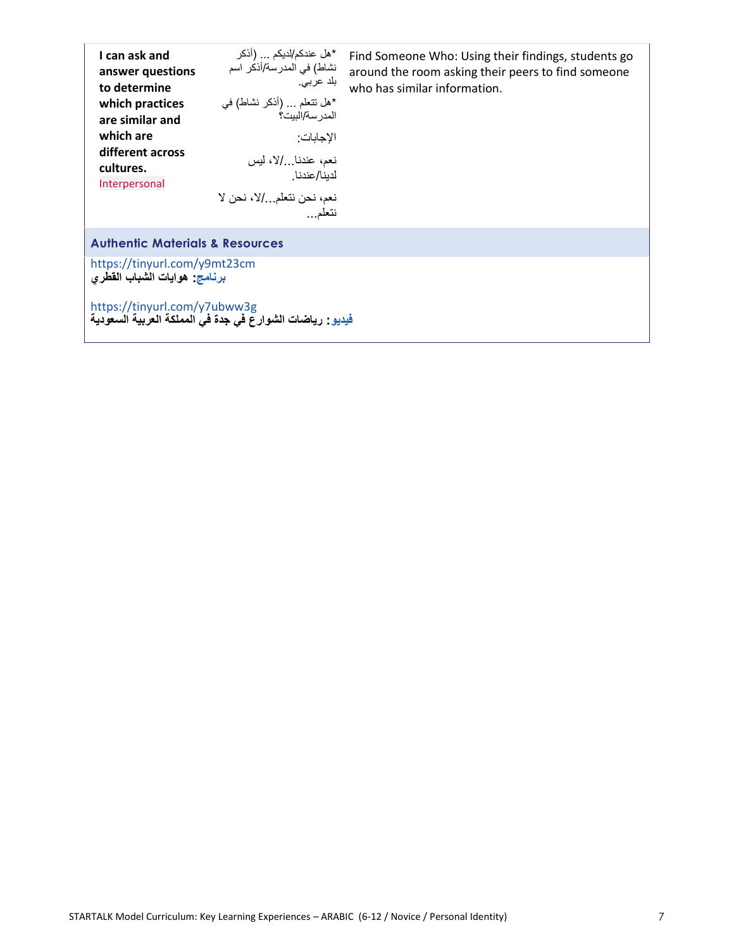| I can ask and<br>answer questions<br>to determine<br>which practices<br>are similar and<br>which are<br>different across<br>cultures.<br>Interpersonal | *هل عندكم/لديكم (أذكر<br>نشاط) في المدرسة/أذكر اسم<br>بلد عربی.<br>*هل نتعلَّم  (أذكر نشاط) في<br>المدر سة/البيت؟<br>الإجابات:<br>نعم، عندنـا/لا، ليس<br>لدبنا/عندنا<br>نعم، نحن نتعلم/لا، نحن لا<br>نتعلم… | Find Someone Who: Using their findings, students go<br>around the room asking their peers to find someone<br>who has similar information. |
|--------------------------------------------------------------------------------------------------------------------------------------------------------|-------------------------------------------------------------------------------------------------------------------------------------------------------------------------------------------------------------|-------------------------------------------------------------------------------------------------------------------------------------------|
| <b>Authentic Materials &amp; Resources</b>                                                                                                             |                                                                                                                                                                                                             |                                                                                                                                           |
| https://tinyurl.com/y9mt23cm<br>برنامج: هوايات الشباب الفطري                                                                                           |                                                                                                                                                                                                             |                                                                                                                                           |
| https://tinyurl.com/y7ubww3g<br>فَيِدِيو : رياضات الشوارع في جِدة فيُ المملكة العربية السعودية                                                         |                                                                                                                                                                                                             |                                                                                                                                           |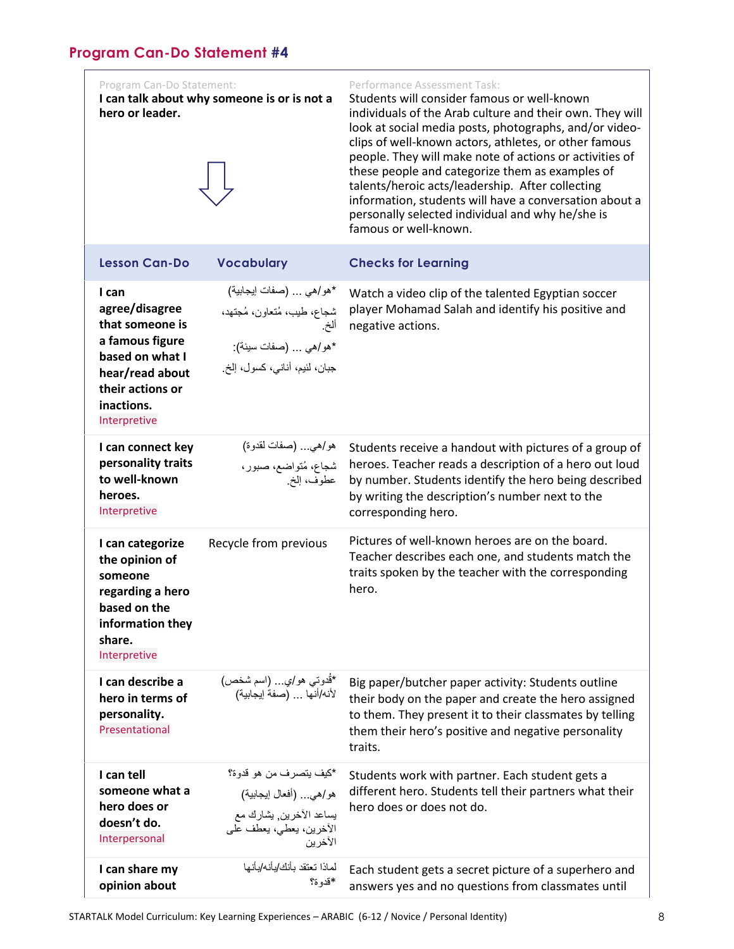<span id="page-7-0"></span>

| Program Can-Do Statement:<br>hero or leader.                                                                                                          | I can talk about why someone is or is not a                                                                            | Performance Assessment Task:<br>Students will consider famous or well-known<br>individuals of the Arab culture and their own. They will<br>look at social media posts, photographs, and/or video-<br>clips of well-known actors, athletes, or other famous<br>people. They will make note of actions or activities of<br>these people and categorize them as examples of<br>talents/heroic acts/leadership. After collecting<br>information, students will have a conversation about a<br>personally selected individual and why he/she is<br>famous or well-known. |
|-------------------------------------------------------------------------------------------------------------------------------------------------------|------------------------------------------------------------------------------------------------------------------------|---------------------------------------------------------------------------------------------------------------------------------------------------------------------------------------------------------------------------------------------------------------------------------------------------------------------------------------------------------------------------------------------------------------------------------------------------------------------------------------------------------------------------------------------------------------------|
| <b>Lesson Can-Do</b>                                                                                                                                  | <b>Vocabulary</b>                                                                                                      | <b>Checks for Learning</b>                                                                                                                                                                                                                                                                                                                                                                                                                                                                                                                                          |
| I can<br>agree/disagree<br>that someone is<br>a famous figure<br>based on what I<br>hear/read about<br>their actions or<br>inactions.<br>Interpretive | *هو/هي  (صفات إيجابية)<br>شجاع، طيب، مُتعاون، مُجتهد،<br>ألخ<br>*هو/هي  (صفات سيئة):<br>جبان، لَنَيم، أناني، كسول، إلخ | Watch a video clip of the talented Egyptian soccer<br>player Mohamad Salah and identify his positive and<br>negative actions.                                                                                                                                                                                                                                                                                                                                                                                                                                       |
| I can connect key<br>personality traits<br>to well-known<br>heroes.<br>Interpretive                                                                   | هو/هي (صفات لقدوة)<br>شجاع، مُتواضع، صبور،<br>عطوف، إلخ                                                                | Students receive a handout with pictures of a group of<br>heroes. Teacher reads a description of a hero out loud<br>by number. Students identify the hero being described<br>by writing the description's number next to the<br>corresponding hero.                                                                                                                                                                                                                                                                                                                 |
| I can categorize<br>the opinion of<br>someone<br>regarding a hero<br>based on the<br>information they<br>share.<br>Interpretive                       | Recycle from previous                                                                                                  | Pictures of well-known heroes are on the board.<br>Teacher describes each one, and students match the<br>traits spoken by the teacher with the corresponding<br>hero.                                                                                                                                                                                                                                                                                                                                                                                               |
| I can describe a<br>hero in terms of<br>personality.<br>Presentational                                                                                | *قُدوتـي هو/ي… (اسم شخص)<br>لأنه/أنها  (صفة إيجابية)                                                                   | Big paper/butcher paper activity: Students outline<br>their body on the paper and create the hero assigned<br>to them. They present it to their classmates by telling<br>them their hero's positive and negative personality<br>traits.                                                                                                                                                                                                                                                                                                                             |
| I can tell<br>someone what a<br>hero does or<br>doesn't do.<br>Interpersonal                                                                          | *كيف يتصرف من هو قدوة؟<br>هو/هي (أفعال إيجابية)<br>بساعد الآخرين, بشارك مع<br>الأخرين، يعطي، يعطف على<br>الآخرين       | Students work with partner. Each student gets a<br>different hero. Students tell their partners what their<br>hero does or does not do.                                                                                                                                                                                                                                                                                                                                                                                                                             |
| I can share my<br>opinion about                                                                                                                       | لماذا تعتقد بأنك/بأنه/بأنها<br>*قدو ة؟                                                                                 | Each student gets a secret picture of a superhero and<br>answers yes and no questions from classmates until                                                                                                                                                                                                                                                                                                                                                                                                                                                         |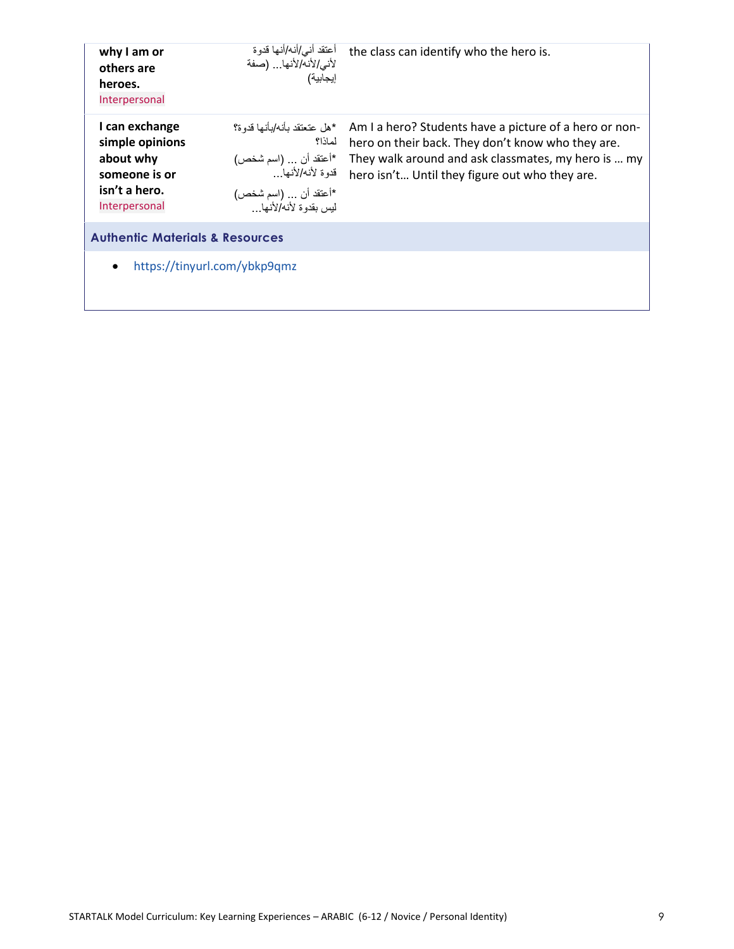| why I am or<br>others are<br>heroes.<br>Interpersonal                                             | أعتقد أني/أنه/أنها قدوة<br>لأني/لأنه/لأنها (صفة<br>إيجابية)                                                                       | the class can identify who the hero is.                                                                                                                                                                              |
|---------------------------------------------------------------------------------------------------|-----------------------------------------------------------------------------------------------------------------------------------|----------------------------------------------------------------------------------------------------------------------------------------------------------------------------------------------------------------------|
| I can exchange<br>simple opinions<br>about why<br>someone is or<br>isn't a hero.<br>Interpersonal | *هل عتعتقد بأنه/بأنها قدو ة؟<br>لماذا؟<br>*أعتقد أن  (اسم شخص)<br>قدوة لأنه/لأنها<br>*أعتقد أن  (اسم شخص)<br>ليس يقدوة لأنه/لأنها | Am I a hero? Students have a picture of a hero or non-<br>hero on their back. They don't know who they are.<br>They walk around and ask classmates, my hero is  my<br>hero isn't Until they figure out who they are. |
| <b>Authentic Materials &amp; Resources</b>                                                        |                                                                                                                                   |                                                                                                                                                                                                                      |
| https://tinyurl.com/ybkp9qmz<br>$\bullet$                                                         |                                                                                                                                   |                                                                                                                                                                                                                      |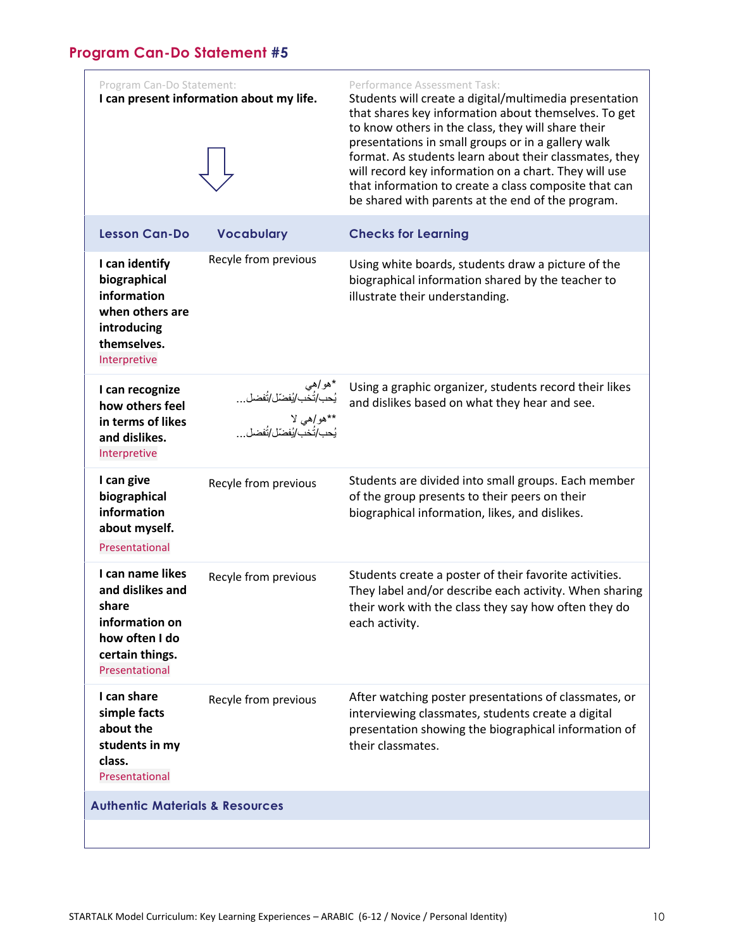## <span id="page-9-0"></span>**Program Can-Do Statement #5**

| Program Can-Do Statement:                                                                                              | I can present information about my life. | Performance Assessment Task:<br>Students will create a digital/multimedia presentation<br>that shares key information about themselves. To get<br>to know others in the class, they will share their<br>presentations in small groups or in a gallery walk<br>format. As students learn about their classmates, they<br>will record key information on a chart. They will use<br>that information to create a class composite that can<br>be shared with parents at the end of the program. |
|------------------------------------------------------------------------------------------------------------------------|------------------------------------------|---------------------------------------------------------------------------------------------------------------------------------------------------------------------------------------------------------------------------------------------------------------------------------------------------------------------------------------------------------------------------------------------------------------------------------------------------------------------------------------------|
| <b>Lesson Can-Do</b>                                                                                                   | <b>Vocabulary</b>                        | <b>Checks for Learning</b>                                                                                                                                                                                                                                                                                                                                                                                                                                                                  |
| I can identify<br>biographical<br>information<br>when others are<br>introducing<br>themselves.<br>Interpretive         | Recyle from previous                     | Using white boards, students draw a picture of the<br>biographical information shared by the teacher to<br>illustrate their understanding.                                                                                                                                                                                                                                                                                                                                                  |
| I can recognize<br>how others feel<br>in terms of likes<br>and dislikes.<br>Interpretive                               | *هو/هي<br>يُحب/تُخب/يُفضّلْ/تُفضل        | Using a graphic organizer, students record their likes<br>and dislikes based on what they hear and see.                                                                                                                                                                                                                                                                                                                                                                                     |
| I can give<br>biographical<br>information<br>about myself.<br>Presentational                                           | Recyle from previous                     | Students are divided into small groups. Each member<br>of the group presents to their peers on their<br>biographical information, likes, and dislikes.                                                                                                                                                                                                                                                                                                                                      |
| I can name likes<br>and dislikes and<br>share<br>information on<br>how often I do<br>certain things.<br>Presentational | Recyle from previous                     | Students create a poster of their favorite activities.<br>They label and/or describe each activity. When sharing<br>their work with the class they say how often they do<br>each activity.                                                                                                                                                                                                                                                                                                  |
| I can share<br>simple facts<br>about the<br>students in my<br>class.<br>Presentational                                 | Recyle from previous                     | After watching poster presentations of classmates, or<br>interviewing classmates, students create a digital<br>presentation showing the biographical information of<br>their classmates.                                                                                                                                                                                                                                                                                                    |
| <b>Authentic Materials &amp; Resources</b>                                                                             |                                          |                                                                                                                                                                                                                                                                                                                                                                                                                                                                                             |
|                                                                                                                        |                                          |                                                                                                                                                                                                                                                                                                                                                                                                                                                                                             |